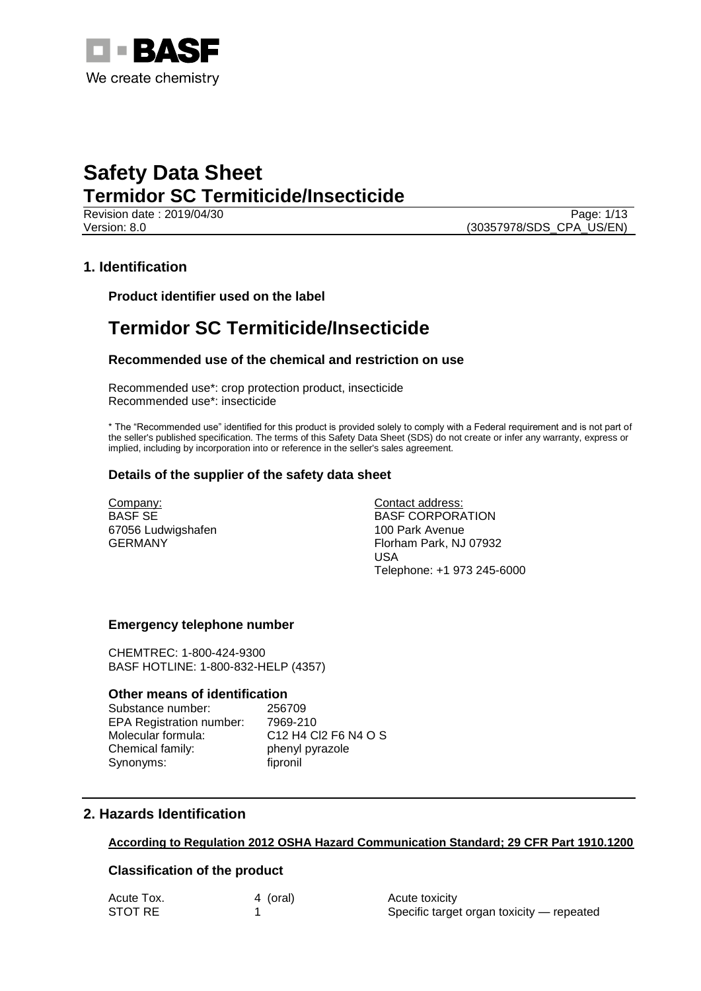

Revision date : 2019/04/30 Page: 1/13 Version: 8.0 (30357978/SDS\_CPA\_US/EN)

## **1. Identification**

**Product identifier used on the label**

## **Termidor SC Termiticide/Insecticide**

#### **Recommended use of the chemical and restriction on use**

Recommended use\*: crop protection product, insecticide Recommended use\*: insecticide

\* The "Recommended use" identified for this product is provided solely to comply with a Federal requirement and is not part of the seller's published specification. The terms of this Safety Data Sheet (SDS) do not create or infer any warranty, express or implied, including by incorporation into or reference in the seller's sales agreement.

#### **Details of the supplier of the safety data sheet**

Company: BASF SE 67056 Ludwigshafen GERMANY

Contact address: BASF CORPORATION 100 Park Avenue Florham Park, NJ 07932 USA Telephone: +1 973 245-6000

#### **Emergency telephone number**

CHEMTREC: 1-800-424-9300 BASF HOTLINE: 1-800-832-HELP (4357)

#### **Other means of identification**

Substance number: 256709 EPA Registration number: 7969-210 Molecular formula: C12 H4 Cl2 F6 N4 O S Chemical family: phenyl pyrazole Synonyms: fipronil

### **2. Hazards Identification**

#### **According to Regulation 2012 OSHA Hazard Communication Standard; 29 CFR Part 1910.1200**

### **Classification of the product**

| Acute Tox. | 4 (oral) | Acute toxicity                            |
|------------|----------|-------------------------------------------|
| STOT RE    |          | Specific target organ toxicity — repeated |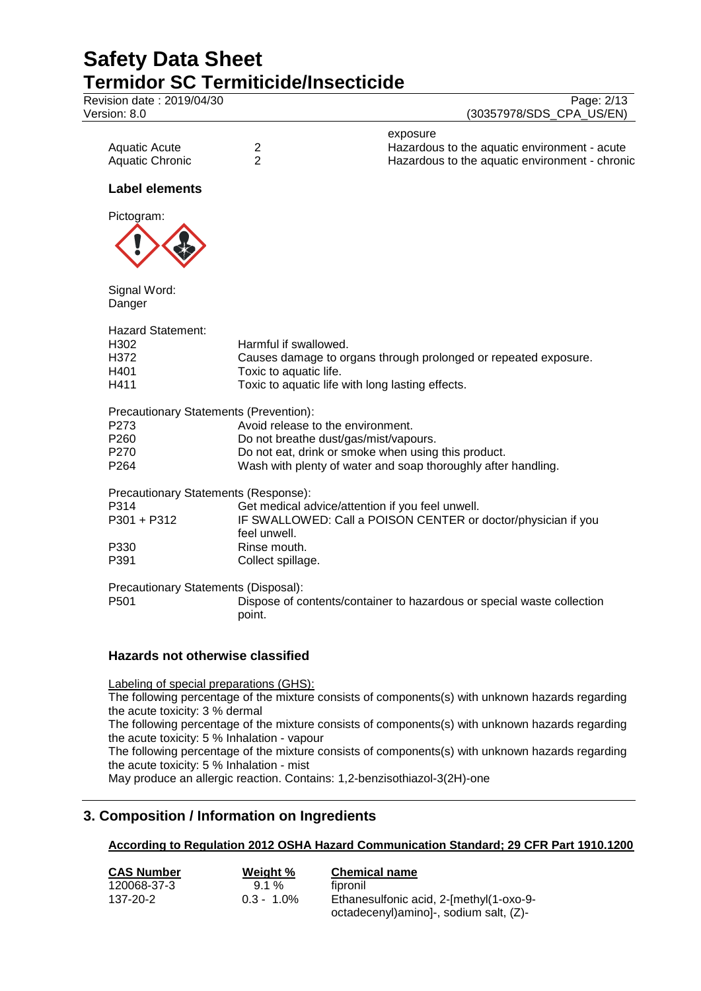Revision date : 2019/04/30 Page: 2/13

| (30357978/SDS_CPA_US/EN)                                                                                             |
|----------------------------------------------------------------------------------------------------------------------|
| Hazardous to the aquatic environment - acute<br>Hazardous to the aquatic environment - chronic                       |
|                                                                                                                      |
|                                                                                                                      |
|                                                                                                                      |
| Causes damage to organs through prolonged or repeated exposure.                                                      |
| Do not eat, drink or smoke when using this product.<br>Wash with plenty of water and soap thoroughly after handling. |
| IF SWALLOWED: Call a POISON CENTER or doctor/physician if you                                                        |
| Dispose of contents/container to hazardous or special waste collection                                               |
|                                                                                                                      |

The following percentage of the mixture consists of components(s) with unknown hazards regarding the acute toxicity: 3 % dermal The following percentage of the mixture consists of components(s) with unknown hazards regarding the acute toxicity: 5 % Inhalation - vapour The following percentage of the mixture consists of components(s) with unknown hazards regarding the acute toxicity: 5 % Inhalation - mist May produce an allergic reaction. Contains: 1,2-benzisothiazol-3(2H)-one

## **3. Composition / Information on Ingredients**

## **According to Regulation 2012 OSHA Hazard Communication Standard; 29 CFR Part 1910.1200**

| <b>CAS Number</b> | Weight %      | <b>Chemical name</b>                    |
|-------------------|---------------|-----------------------------------------|
| 120068-37-3       | $91\%$        | fipronil                                |
| 137-20-2          | $0.3 - 1.0\%$ | Ethanesulfonic acid, 2-[methyl(1-oxo-9- |
|                   |               | octadecenyl) amino]-, sodium salt, (Z)- |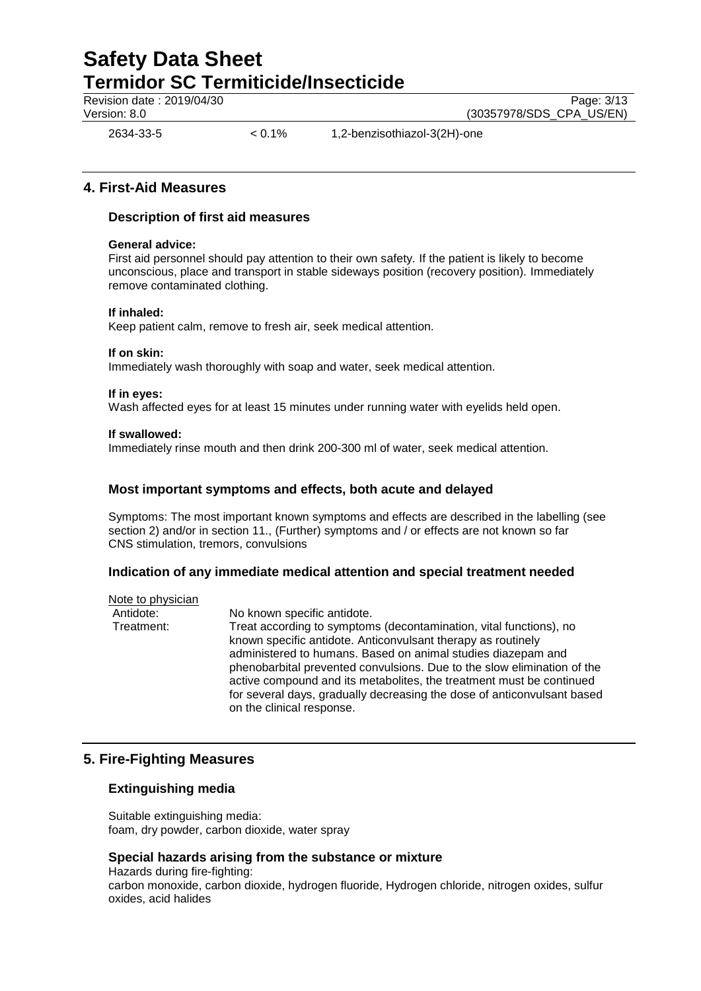Revision date : 2019/04/30 Page: 3/13<br>
Version: 8.0 (30357978/SDS CPA US/EN)

(30357978/SDS\_CPA\_US/EN)

2634-33-5 < 0.1% 1,2-benzisothiazol-3(2H)-one

## **4. First-Aid Measures**

### **Description of first aid measures**

#### **General advice:**

First aid personnel should pay attention to their own safety. If the patient is likely to become unconscious, place and transport in stable sideways position (recovery position). Immediately remove contaminated clothing.

#### **If inhaled:**

Keep patient calm, remove to fresh air, seek medical attention.

#### **If on skin:**

Immediately wash thoroughly with soap and water, seek medical attention.

#### **If in eyes:**

Wash affected eyes for at least 15 minutes under running water with eyelids held open.

#### **If swallowed:**

Immediately rinse mouth and then drink 200-300 ml of water, seek medical attention.

## **Most important symptoms and effects, both acute and delayed**

Symptoms: The most important known symptoms and effects are described in the labelling (see section 2) and/or in section 11., (Further) symptoms and / or effects are not known so far CNS stimulation, tremors, convulsions

#### **Indication of any immediate medical attention and special treatment needed**

Note to physician<br>Antidote: No known specific antidote. Treatment: Treat according to symptoms (decontamination, vital functions), no known specific antidote. Anticonvulsant therapy as routinely administered to humans. Based on animal studies diazepam and phenobarbital prevented convulsions. Due to the slow elimination of the active compound and its metabolites, the treatment must be continued for several days, gradually decreasing the dose of anticonvulsant based on the clinical response.

## **5. Fire-Fighting Measures**

## **Extinguishing media**

Suitable extinguishing media: foam, dry powder, carbon dioxide, water spray

#### **Special hazards arising from the substance or mixture**

Hazards during fire-fighting: carbon monoxide, carbon dioxide, hydrogen fluoride, Hydrogen chloride, nitrogen oxides, sulfur oxides, acid halides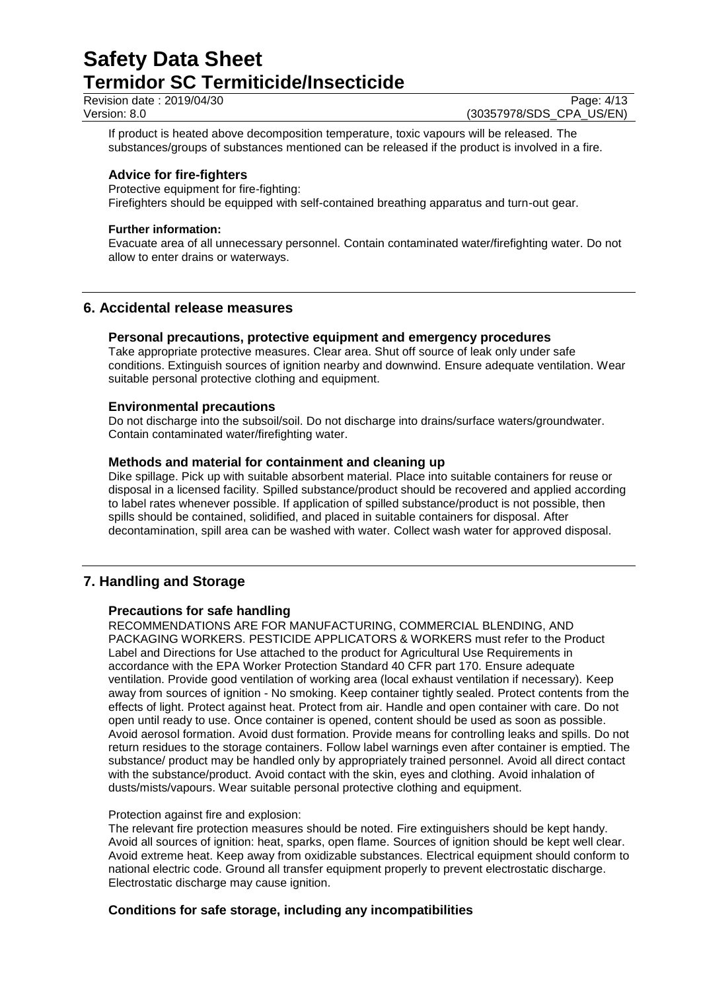Revision date : 2019/04/30 Page: 4/13<br>
Version: 8.0 Page: 4/13<br>
Version: 8.0 (30357978/SDS CPA US/EN)

(30357978/SDS\_CPA\_US/EN)

If product is heated above decomposition temperature, toxic vapours will be released. The substances/groups of substances mentioned can be released if the product is involved in a fire.

#### **Advice for fire-fighters**

Protective equipment for fire-fighting: Firefighters should be equipped with self-contained breathing apparatus and turn-out gear.

#### **Further information:**

Evacuate area of all unnecessary personnel. Contain contaminated water/firefighting water. Do not allow to enter drains or waterways.

## **6. Accidental release measures**

#### **Personal precautions, protective equipment and emergency procedures**

Take appropriate protective measures. Clear area. Shut off source of leak only under safe conditions. Extinguish sources of ignition nearby and downwind. Ensure adequate ventilation. Wear suitable personal protective clothing and equipment.

#### **Environmental precautions**

Do not discharge into the subsoil/soil. Do not discharge into drains/surface waters/groundwater. Contain contaminated water/firefighting water.

#### **Methods and material for containment and cleaning up**

Dike spillage. Pick up with suitable absorbent material. Place into suitable containers for reuse or disposal in a licensed facility. Spilled substance/product should be recovered and applied according to label rates whenever possible. If application of spilled substance/product is not possible, then spills should be contained, solidified, and placed in suitable containers for disposal. After decontamination, spill area can be washed with water. Collect wash water for approved disposal.

## **7. Handling and Storage**

#### **Precautions for safe handling**

RECOMMENDATIONS ARE FOR MANUFACTURING, COMMERCIAL BLENDING, AND PACKAGING WORKERS. PESTICIDE APPLICATORS & WORKERS must refer to the Product Label and Directions for Use attached to the product for Agricultural Use Requirements in accordance with the EPA Worker Protection Standard 40 CFR part 170. Ensure adequate ventilation. Provide good ventilation of working area (local exhaust ventilation if necessary). Keep away from sources of ignition - No smoking. Keep container tightly sealed. Protect contents from the effects of light. Protect against heat. Protect from air. Handle and open container with care. Do not open until ready to use. Once container is opened, content should be used as soon as possible. Avoid aerosol formation. Avoid dust formation. Provide means for controlling leaks and spills. Do not return residues to the storage containers. Follow label warnings even after container is emptied. The substance/ product may be handled only by appropriately trained personnel. Avoid all direct contact with the substance/product. Avoid contact with the skin, eyes and clothing. Avoid inhalation of dusts/mists/vapours. Wear suitable personal protective clothing and equipment.

#### Protection against fire and explosion:

The relevant fire protection measures should be noted. Fire extinguishers should be kept handy. Avoid all sources of ignition: heat, sparks, open flame. Sources of ignition should be kept well clear. Avoid extreme heat. Keep away from oxidizable substances. Electrical equipment should conform to national electric code. Ground all transfer equipment properly to prevent electrostatic discharge. Electrostatic discharge may cause ignition.

#### **Conditions for safe storage, including any incompatibilities**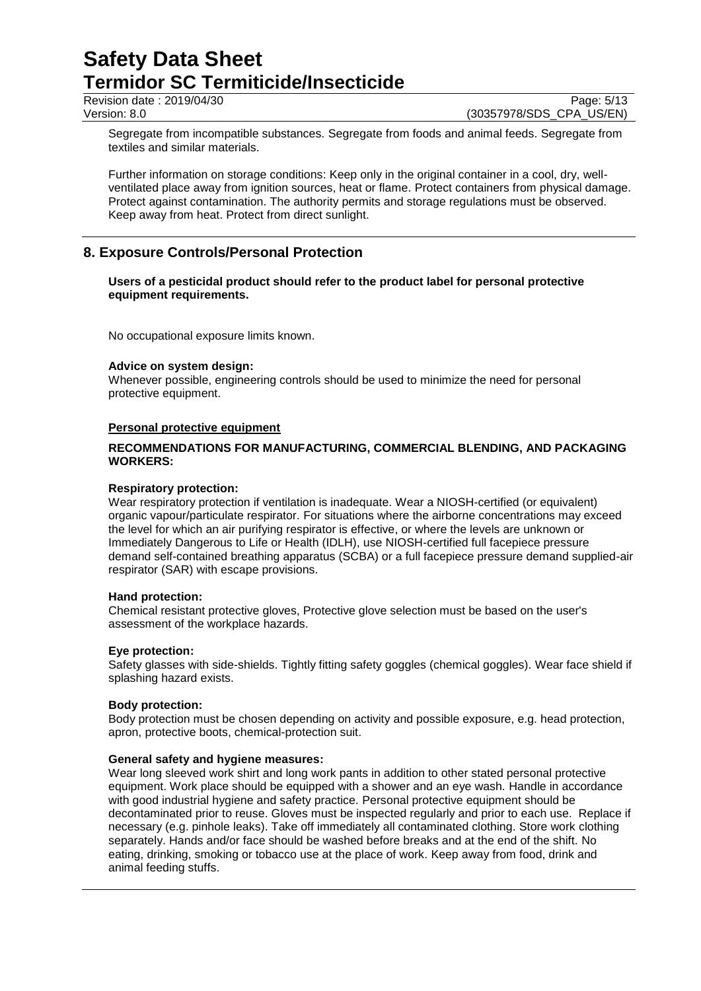Revision date : 2019/04/30 Page: 5/13<br>
Version: 8.0 (30357978/SDS CPA US/EN)

(30357978/SDS\_CPA\_US/EN)

Segregate from incompatible substances. Segregate from foods and animal feeds. Segregate from textiles and similar materials.

Further information on storage conditions: Keep only in the original container in a cool, dry, wellventilated place away from ignition sources, heat or flame. Protect containers from physical damage. Protect against contamination. The authority permits and storage regulations must be observed. Keep away from heat. Protect from direct sunlight.

## **8. Exposure Controls/Personal Protection**

#### **Users of a pesticidal product should refer to the product label for personal protective equipment requirements.**

No occupational exposure limits known.

#### **Advice on system design:**

Whenever possible, engineering controls should be used to minimize the need for personal protective equipment.

#### **Personal protective equipment**

#### **RECOMMENDATIONS FOR MANUFACTURING, COMMERCIAL BLENDING, AND PACKAGING WORKERS:**

#### **Respiratory protection:**

Wear respiratory protection if ventilation is inadequate. Wear a NIOSH-certified (or equivalent) organic vapour/particulate respirator. For situations where the airborne concentrations may exceed the level for which an air purifying respirator is effective, or where the levels are unknown or Immediately Dangerous to Life or Health (IDLH), use NIOSH-certified full facepiece pressure demand self-contained breathing apparatus (SCBA) or a full facepiece pressure demand supplied-air respirator (SAR) with escape provisions.

#### **Hand protection:**

Chemical resistant protective gloves, Protective glove selection must be based on the user's assessment of the workplace hazards.

#### **Eye protection:**

Safety glasses with side-shields. Tightly fitting safety goggles (chemical goggles). Wear face shield if splashing hazard exists.

#### **Body protection:**

Body protection must be chosen depending on activity and possible exposure, e.g. head protection, apron, protective boots, chemical-protection suit.

#### **General safety and hygiene measures:**

Wear long sleeved work shirt and long work pants in addition to other stated personal protective equipment. Work place should be equipped with a shower and an eye wash. Handle in accordance with good industrial hygiene and safety practice. Personal protective equipment should be decontaminated prior to reuse. Gloves must be inspected regularly and prior to each use. Replace if necessary (e.g. pinhole leaks). Take off immediately all contaminated clothing. Store work clothing separately. Hands and/or face should be washed before breaks and at the end of the shift. No eating, drinking, smoking or tobacco use at the place of work. Keep away from food, drink and animal feeding stuffs.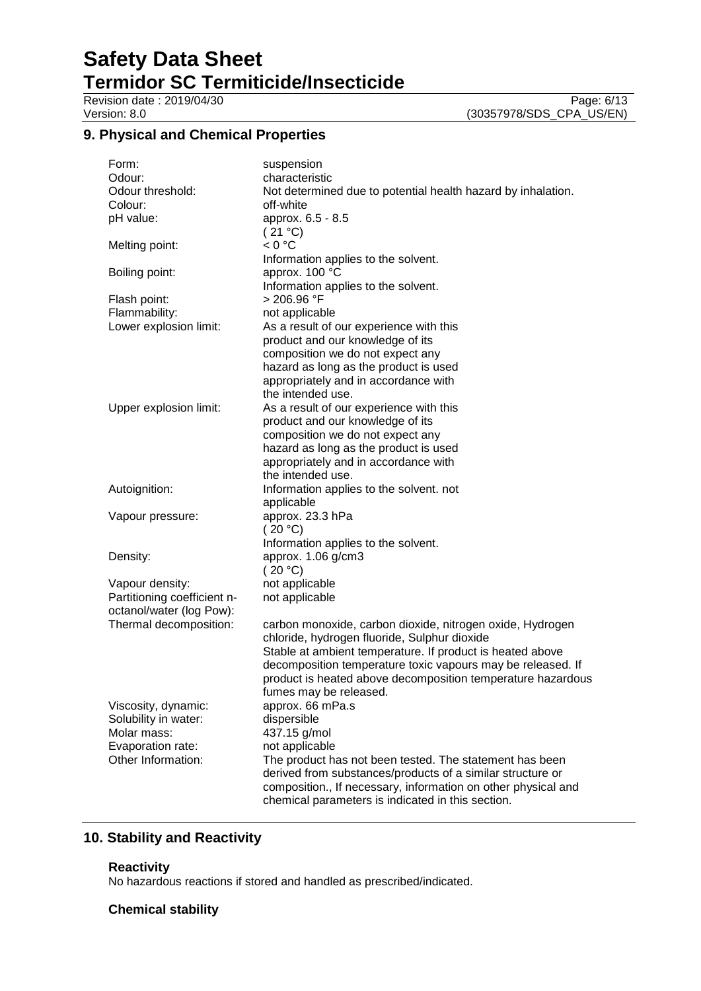## **9. Physical and Chemical Properties**

| Form:<br>Odour:             | suspension<br>characteristic                                                                              |
|-----------------------------|-----------------------------------------------------------------------------------------------------------|
| Odour threshold:            | Not determined due to potential health hazard by inhalation.                                              |
| Colour:<br>pH value:        | off-white                                                                                                 |
|                             | approx. 6.5 - 8.5<br>(21 °C)                                                                              |
| Melting point:              | < 0 °C                                                                                                    |
| Boiling point:              | Information applies to the solvent.<br>approx. 100 °C                                                     |
|                             | Information applies to the solvent.                                                                       |
| Flash point:                | > 206.96 °F                                                                                               |
| Flammability:               | not applicable                                                                                            |
| Lower explosion limit:      | As a result of our experience with this                                                                   |
|                             | product and our knowledge of its                                                                          |
|                             | composition we do not expect any<br>hazard as long as the product is used                                 |
|                             | appropriately and in accordance with                                                                      |
|                             | the intended use.                                                                                         |
| Upper explosion limit:      | As a result of our experience with this                                                                   |
|                             | product and our knowledge of its                                                                          |
|                             | composition we do not expect any                                                                          |
|                             | hazard as long as the product is used                                                                     |
|                             | appropriately and in accordance with                                                                      |
|                             | the intended use.                                                                                         |
| Autoignition:               | Information applies to the solvent. not                                                                   |
|                             | applicable                                                                                                |
| Vapour pressure:            | approx. 23.3 hPa<br>(20 °C)                                                                               |
|                             | Information applies to the solvent.                                                                       |
| Density:                    | approx. 1.06 g/cm3                                                                                        |
|                             | (20 °C)                                                                                                   |
| Vapour density:             | not applicable                                                                                            |
| Partitioning coefficient n- | not applicable                                                                                            |
| octanol/water (log Pow):    |                                                                                                           |
| Thermal decomposition:      | carbon monoxide, carbon dioxide, nitrogen oxide, Hydrogen                                                 |
|                             | chloride, hydrogen fluoride, Sulphur dioxide<br>Stable at ambient temperature. If product is heated above |
|                             | decomposition temperature toxic vapours may be released. If                                               |
|                             | product is heated above decomposition temperature hazardous                                               |
|                             | fumes may be released.                                                                                    |
| Viscosity, dynamic:         | approx. 66 mPa.s                                                                                          |
| Solubility in water:        | dispersible                                                                                               |
| Molar mass:                 | 437.15 g/mol                                                                                              |
| Evaporation rate:           | not applicable                                                                                            |
| Other Information:          | The product has not been tested. The statement has been                                                   |
|                             | derived from substances/products of a similar structure or                                                |
|                             | composition., If necessary, information on other physical and                                             |
|                             | chemical parameters is indicated in this section.                                                         |
|                             |                                                                                                           |

## **10. Stability and Reactivity**

#### **Reactivity**

No hazardous reactions if stored and handled as prescribed/indicated.

## **Chemical stability**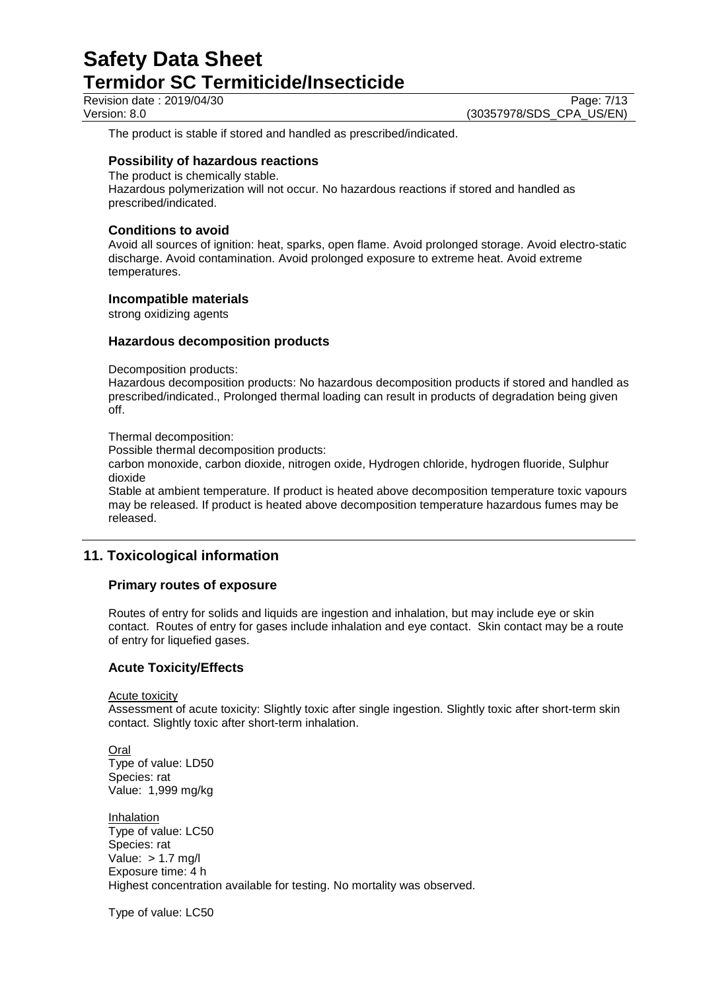Revision date : 2019/04/30 Page: 7/13<br>
Version: 8.0 (30357978/SDS CPA US/EN)

(30357978/SDS\_CPA\_US/EN)

The product is stable if stored and handled as prescribed/indicated.

#### **Possibility of hazardous reactions**

The product is chemically stable. Hazardous polymerization will not occur. No hazardous reactions if stored and handled as prescribed/indicated.

#### **Conditions to avoid**

Avoid all sources of ignition: heat, sparks, open flame. Avoid prolonged storage. Avoid electro-static discharge. Avoid contamination. Avoid prolonged exposure to extreme heat. Avoid extreme temperatures.

#### **Incompatible materials**

strong oxidizing agents

#### **Hazardous decomposition products**

Decomposition products:

Hazardous decomposition products: No hazardous decomposition products if stored and handled as prescribed/indicated., Prolonged thermal loading can result in products of degradation being given off.

#### Thermal decomposition:

Possible thermal decomposition products:

carbon monoxide, carbon dioxide, nitrogen oxide, Hydrogen chloride, hydrogen fluoride, Sulphur dioxide

Stable at ambient temperature. If product is heated above decomposition temperature toxic vapours may be released. If product is heated above decomposition temperature hazardous fumes may be released.

## **11. Toxicological information**

#### **Primary routes of exposure**

Routes of entry for solids and liquids are ingestion and inhalation, but may include eye or skin contact. Routes of entry for gases include inhalation and eye contact. Skin contact may be a route of entry for liquefied gases.

#### **Acute Toxicity/Effects**

Acute toxicity

Assessment of acute toxicity: Slightly toxic after single ingestion. Slightly toxic after short-term skin contact. Slightly toxic after short-term inhalation.

Oral Type of value: LD50 Species: rat Value: 1,999 mg/kg

**Inhalation** Type of value: LC50 Species: rat Value:  $> 1.7$  mg/l Exposure time: 4 h Highest concentration available for testing. No mortality was observed.

Type of value: LC50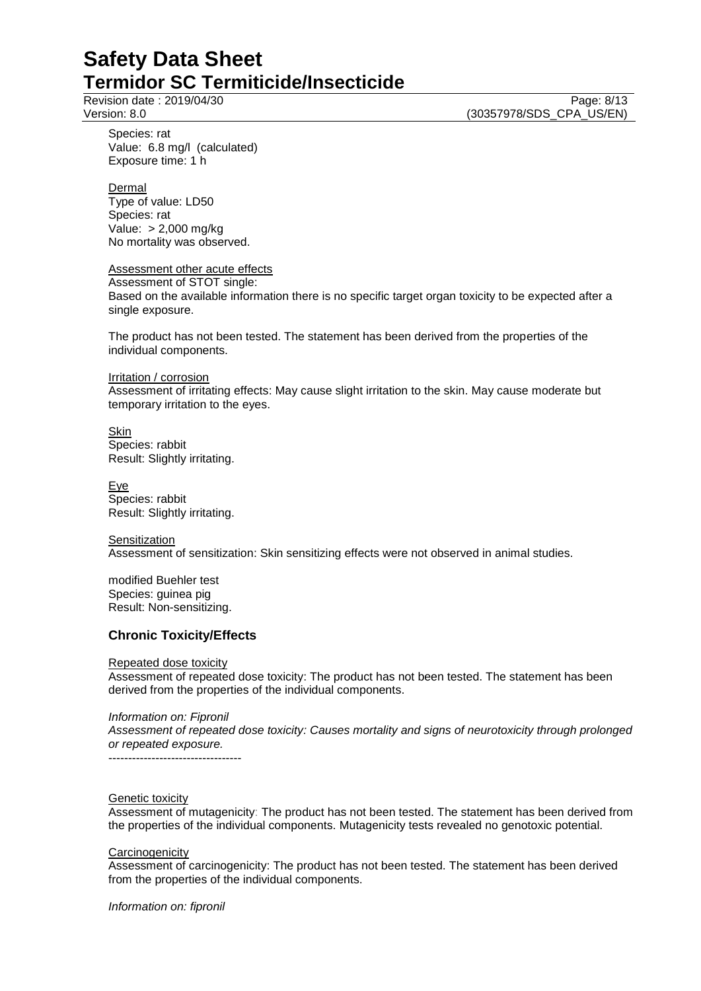Revision date : 2019/04/30 Page: 8/13<br>
Version: 8.0 (30357978/SDS CPA US/EN) (30357978/SDS\_CPA\_US/EN)

Species: rat Value: 6.8 mg/l (calculated) Exposure time: 1 h

Dermal Type of value: LD50 Species: rat Value: > 2,000 mg/kg No mortality was observed.

#### Assessment other acute effects

Assessment of STOT single: Based on the available information there is no specific target organ toxicity to be expected after a single exposure.

The product has not been tested. The statement has been derived from the properties of the individual components.

#### Irritation / corrosion

Assessment of irritating effects: May cause slight irritation to the skin. May cause moderate but temporary irritation to the eyes.

Skin Species: rabbit Result: Slightly irritating.

Eye Species: rabbit Result: Slightly irritating.

**Sensitization** Assessment of sensitization: Skin sensitizing effects were not observed in animal studies.

modified Buehler test Species: guinea pig Result: Non-sensitizing.

#### **Chronic Toxicity/Effects**

#### Repeated dose toxicity

Assessment of repeated dose toxicity: The product has not been tested. The statement has been derived from the properties of the individual components.

#### *Information on: Fipronil*

----------------------------------

*Assessment of repeated dose toxicity: Causes mortality and signs of neurotoxicity through prolonged or repeated exposure.*

#### Genetic toxicity

Assessment of mutagenicity: The product has not been tested. The statement has been derived from the properties of the individual components. Mutagenicity tests revealed no genotoxic potential.

#### **Carcinogenicity**

Assessment of carcinogenicity: The product has not been tested. The statement has been derived from the properties of the individual components.

*Information on: fipronil*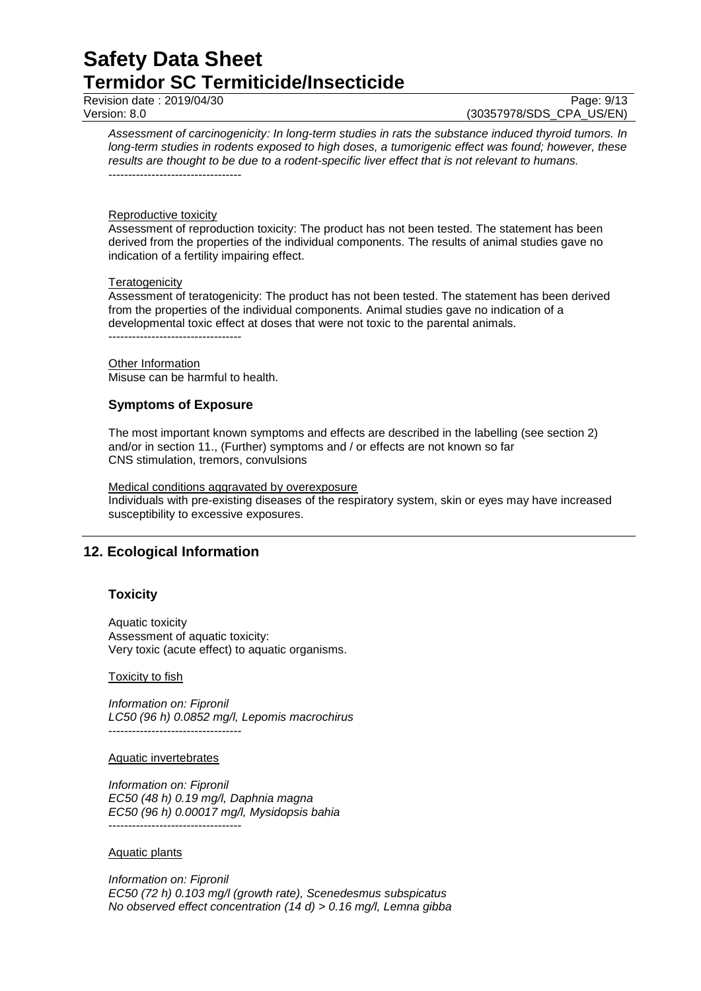Revision date : 2019/04/30 Page: 9/13<br>
Version: 8.0 (30357978/SDS CPA US/EN)

(30357978/SDS\_CPA\_US/EN)

*Assessment of carcinogenicity: In long-term studies in rats the substance induced thyroid tumors. In long-term studies in rodents exposed to high doses, a tumorigenic effect was found; however, these results are thought to be due to a rodent-specific liver effect that is not relevant to humans.* ----------------------------------

#### Reproductive toxicity

Assessment of reproduction toxicity: The product has not been tested. The statement has been derived from the properties of the individual components. The results of animal studies gave no indication of a fertility impairing effect.

#### **Teratogenicity**

Assessment of teratogenicity: The product has not been tested. The statement has been derived from the properties of the individual components. Animal studies gave no indication of a developmental toxic effect at doses that were not toxic to the parental animals. ----------------------------------

Other Information Misuse can be harmful to health.

## **Symptoms of Exposure**

The most important known symptoms and effects are described in the labelling (see section 2) and/or in section 11., (Further) symptoms and / or effects are not known so far CNS stimulation, tremors, convulsions

Medical conditions aggravated by overexposure Individuals with pre-existing diseases of the respiratory system, skin or eyes may have increased susceptibility to excessive exposures.

## **12. Ecological Information**

#### **Toxicity**

Aquatic toxicity Assessment of aquatic toxicity: Very toxic (acute effect) to aquatic organisms.

Toxicity to fish

*Information on: Fipronil LC50 (96 h) 0.0852 mg/l, Lepomis macrochirus* ----------------------------------

#### Aquatic invertebrates

*Information on: Fipronil EC50 (48 h) 0.19 mg/l, Daphnia magna EC50 (96 h) 0.00017 mg/l, Mysidopsis bahia* ----------------------------------

#### Aquatic plants

*Information on: Fipronil EC50 (72 h) 0.103 mg/l (growth rate), Scenedesmus subspicatus No observed effect concentration (14 d) > 0.16 mg/l, Lemna gibba*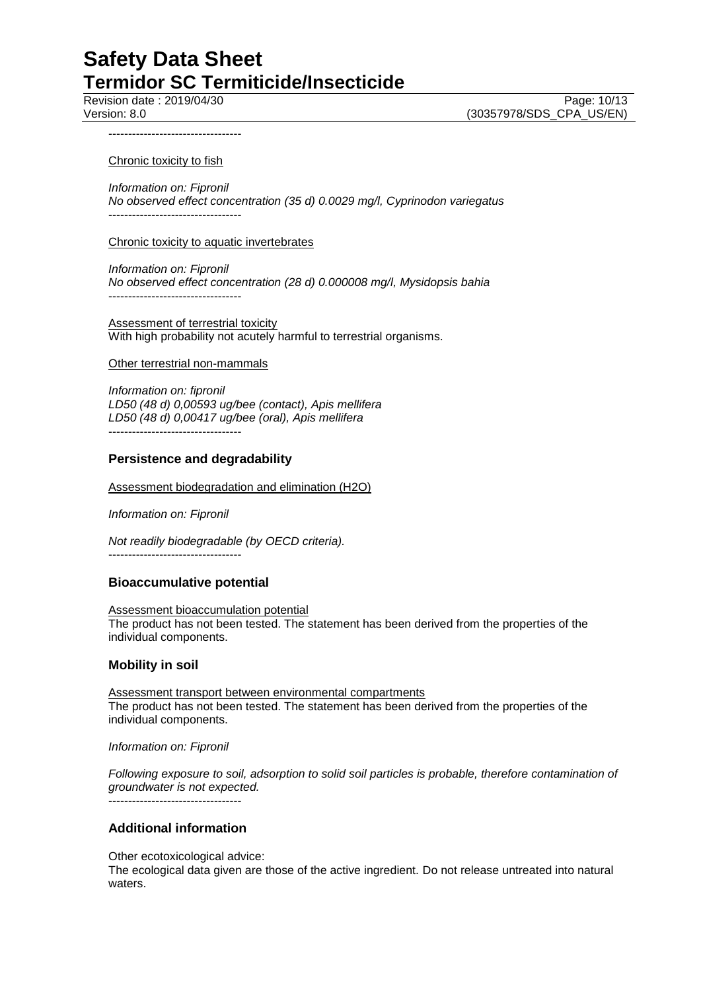Revision date : 2019/04/30 Page: 10/13<br>Version: 8.0 (30357978/SDS CPA US/EN) (30357978/SDS\_CPA\_US/EN)

----------------------------------

#### Chronic toxicity to fish

*Information on: Fipronil No observed effect concentration (35 d) 0.0029 mg/l, Cyprinodon variegatus* ----------------------------------

#### Chronic toxicity to aquatic invertebrates

*Information on: Fipronil No observed effect concentration (28 d) 0.000008 mg/l, Mysidopsis bahia* ----------------------------------

Assessment of terrestrial toxicity With high probability not acutely harmful to terrestrial organisms.

#### Other terrestrial non-mammals

*Information on: fipronil LD50 (48 d) 0,00593 ug/bee (contact), Apis mellifera LD50 (48 d) 0,00417 ug/bee (oral), Apis mellifera* ----------------------------------

#### **Persistence and degradability**

Assessment biodegradation and elimination (H2O)

*Information on: Fipronil*

*Not readily biodegradable (by OECD criteria).* ----------------------------------

#### **Bioaccumulative potential**

#### Assessment bioaccumulation potential

The product has not been tested. The statement has been derived from the properties of the individual components.

#### **Mobility in soil**

Assessment transport between environmental compartments The product has not been tested. The statement has been derived from the properties of the individual components.

*Information on: Fipronil*

*Following exposure to soil, adsorption to solid soil particles is probable, therefore contamination of groundwater is not expected.*

----------------------------------

## **Additional information**

Other ecotoxicological advice:

The ecological data given are those of the active ingredient. Do not release untreated into natural waters.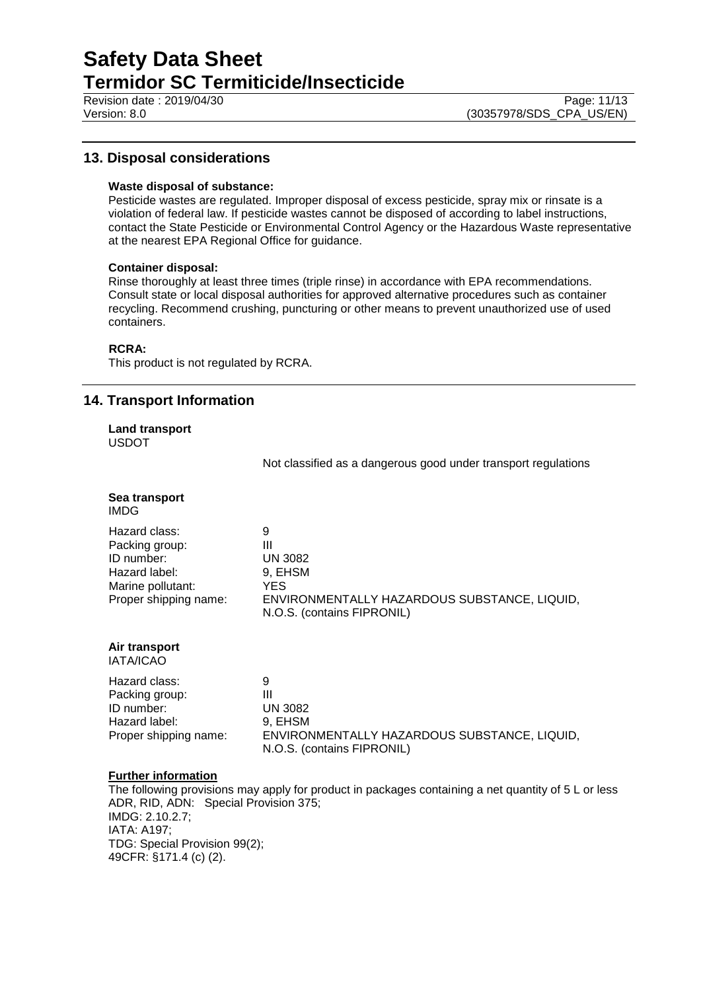Revision date : 2019/04/30 Page: 11/13<br>Version: 8.0 (30357978/SDS CPA US/EN)

## **13. Disposal considerations**

#### **Waste disposal of substance:**

Pesticide wastes are regulated. Improper disposal of excess pesticide, spray mix or rinsate is a violation of federal law. If pesticide wastes cannot be disposed of according to label instructions, contact the State Pesticide or Environmental Control Agency or the Hazardous Waste representative at the nearest EPA Regional Office for guidance.

#### **Container disposal:**

Rinse thoroughly at least three times (triple rinse) in accordance with EPA recommendations. Consult state or local disposal authorities for approved alternative procedures such as container recycling. Recommend crushing, puncturing or other means to prevent unauthorized use of used containers.

#### **RCRA:**

This product is not regulated by RCRA.

## **14. Transport Information**

**Land transport** USDOT

Not classified as a dangerous good under transport regulations

|      | Sea transport |
|------|---------------|
| IMDG |               |

| Hazard class:         | 9                                            |
|-----------------------|----------------------------------------------|
| Packing group:        | Ш                                            |
| ID number:            | <b>UN 3082</b>                               |
| Hazard label:         | 9, EHSM                                      |
| Marine pollutant:     | YES                                          |
| Proper shipping name: | ENVIRONMENTALLY HAZARDOUS SUBSTANCE, LIQUID, |
|                       | N.O.S. (contains FIPRONIL)                   |

| Air transport |  |
|---------------|--|
| IATA/ICAO     |  |

| Hazard class:         | 9                                            |
|-----------------------|----------------------------------------------|
| Packing group:        | Ш                                            |
| ID number:            | <b>UN 3082</b>                               |
| Hazard label:         | 9. EHSM                                      |
| Proper shipping name: | ENVIRONMENTALLY HAZARDOUS SUBSTANCE, LIQUID, |
|                       | N.O.S. (contains FIPRONIL)                   |

#### **Further information**

The following provisions may apply for product in packages containing a net quantity of 5 L or less ADR, RID, ADN: Special Provision 375; IMDG: 2.10.2.7; IATA: A197; TDG: Special Provision 99(2); 49CFR: §171.4 (c) (2).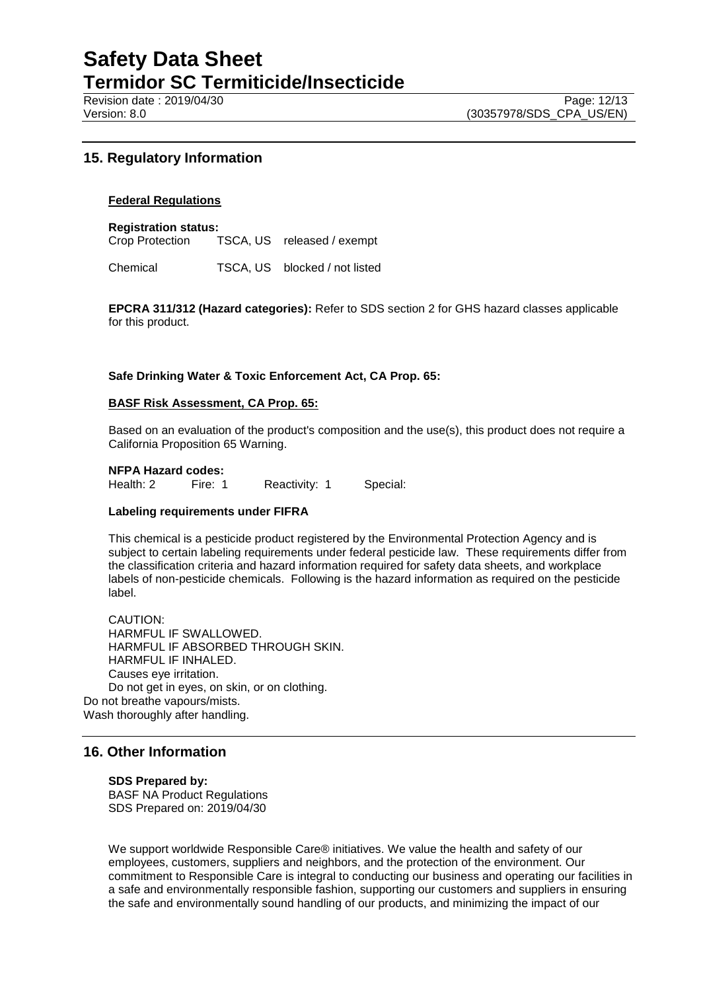## **15. Regulatory Information**

#### **Federal Regulations**

**Registration status:**

Crop Protection TSCA, US released / exempt

Chemical TSCA, US blocked / not listed

**EPCRA 311/312 (Hazard categories):** Refer to SDS section 2 for GHS hazard classes applicable for this product.

#### **Safe Drinking Water & Toxic Enforcement Act, CA Prop. 65:**

#### **BASF Risk Assessment, CA Prop. 65:**

Based on an evaluation of the product's composition and the use(s), this product does not require a California Proposition 65 Warning.

# **NFPA Hazard codes:**<br>Health: 2 Fire: 1

Health: 2 Fire: 1 Reactivity: 1 Special:

#### **Labeling requirements under FIFRA**

This chemical is a pesticide product registered by the Environmental Protection Agency and is subject to certain labeling requirements under federal pesticide law. These requirements differ from the classification criteria and hazard information required for safety data sheets, and workplace labels of non-pesticide chemicals. Following is the hazard information as required on the pesticide label.

CAUTION: HARMFUL IF SWALLOWED. HARMFUL IF ABSORBED THROUGH SKIN. HARMFUL IF INHALED. Causes eye irritation. Do not get in eyes, on skin, or on clothing.

Do not breathe vapours/mists. Wash thoroughly after handling.

### **16. Other Information**

**SDS Prepared by:**  BASF NA Product Regulations SDS Prepared on: 2019/04/30

We support worldwide Responsible Care® initiatives. We value the health and safety of our employees, customers, suppliers and neighbors, and the protection of the environment. Our commitment to Responsible Care is integral to conducting our business and operating our facilities in a safe and environmentally responsible fashion, supporting our customers and suppliers in ensuring the safe and environmentally sound handling of our products, and minimizing the impact of our